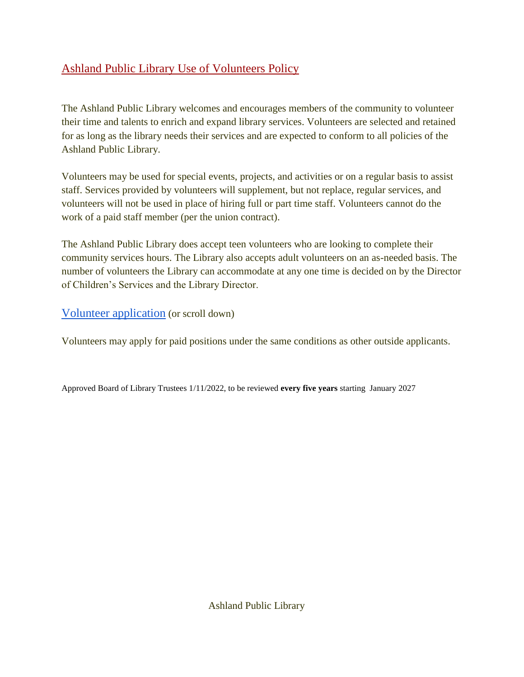## Ashland Public Library Use of Volunteers Policy

The Ashland Public Library welcomes and encourages members of the community to volunteer their time and talents to enrich and expand library services. Volunteers are selected and retained for as long as the library needs their services and are expected to conform to all policies of the Ashland Public Library.

Volunteers may be used for special events, projects, and activities or on a regular basis to assist staff. Services provided by volunteers will supplement, but not replace, regular services, and volunteers will not be used in place of hiring full or part time staff. Volunteers cannot do the work of a paid staff member (per the union contract).

The Ashland Public Library does accept teen volunteers who are looking to complete their community services hours. The Library also accepts adult volunteers on an as-needed basis. The number of volunteers the Library can accommodate at any one time is decided on by the Director of Children's Services and the Library Director.

[Volunteer application](https://docs.google.com/document/d/1RY9zw95Q5JmXZ2Bl2jhs1Zi0yQpIvT5M_ZSohxWFNP8/edit?usp=sharing) (or scroll down)

Volunteers may apply for paid positions under the same conditions as other outside applicants.

Approved Board of Library Trustees 1/11/2022, to be reviewed **every five years** starting January 2027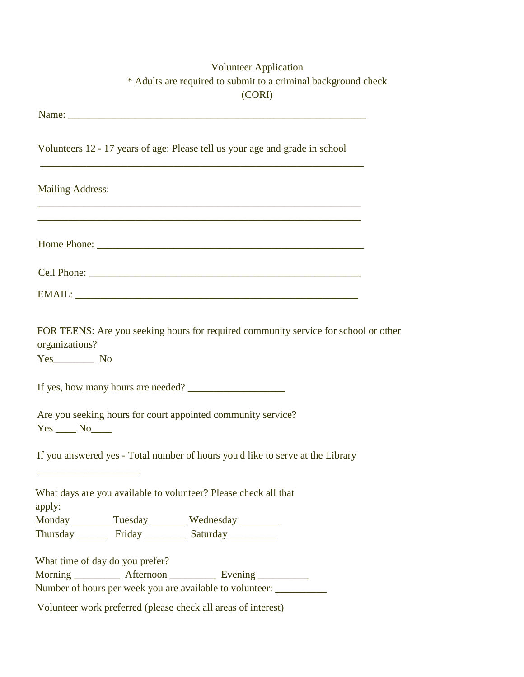## Volunteer Application \* Adults are required to submit to a criminal background check (CORI)

| Volunteers 12 - 17 years of age: Please tell us your age and grade in school                                                                                      |
|-------------------------------------------------------------------------------------------------------------------------------------------------------------------|
| <b>Mailing Address:</b>                                                                                                                                           |
| ,我们也不能在这里的时候,我们也不能在这里的时候,我们也不能会在这里的时候,我们也不能会在这里的时候,我们也不能会在这里的时候,我们也不能会在这里的时候,我们也不                                                                                 |
|                                                                                                                                                                   |
|                                                                                                                                                                   |
| FOR TEENS: Are you seeking hours for required community service for school or other<br>organizations?<br>If yes, how many hours are needed?                       |
| Are you seeking hours for court appointed community service?<br>$Yes \_\_No \_\_$                                                                                 |
| If you answered yes - Total number of hours you'd like to serve at the Library                                                                                    |
| What days are you available to volunteer? Please check all that<br>apply:                                                                                         |
| Monday ________Tuesday _________ Wednesday ________                                                                                                               |
| Thursday Friday Saturday                                                                                                                                          |
| What time of day do you prefer?<br>Morning _____________ Afternoon _____________ Evening ____________<br>Number of hours per week you are available to volunteer: |
| Volunteer work preferred (please check all areas of interest)                                                                                                     |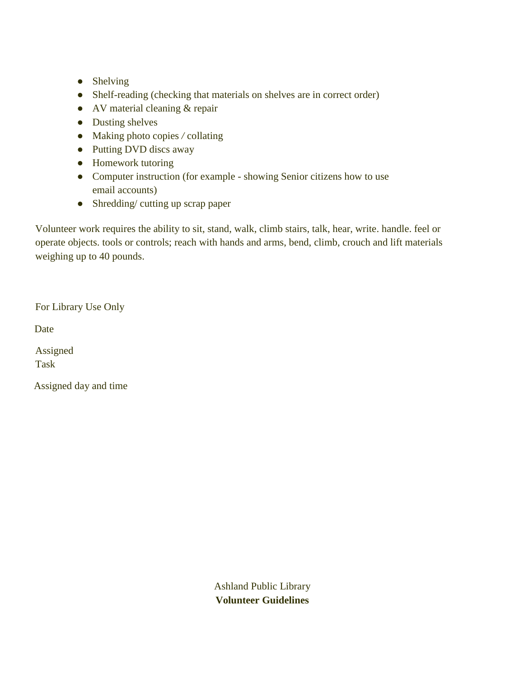- Shelving
- Shelf-reading (checking that materials on shelves are in correct order)
- AV material cleaning & repair
- Dusting shelves
- Making photo copies */* collating
- Putting DVD discs away
- Homework tutoring
- Computer instruction (for example showing Senior citizens how to use email accounts)
- Shredding/ cutting up scrap paper

Volunteer work requires the ability to sit, stand, walk, climb stairs, talk, hear, write. handle. feel or operate objects. tools or controls; reach with hands and arms, bend, climb, crouch and lift materials weighing up to 40 pounds.

For Library Use Only

Date

Assigned Task

Assigned day and time

Ashland Public Library **Volunteer Guidelines**